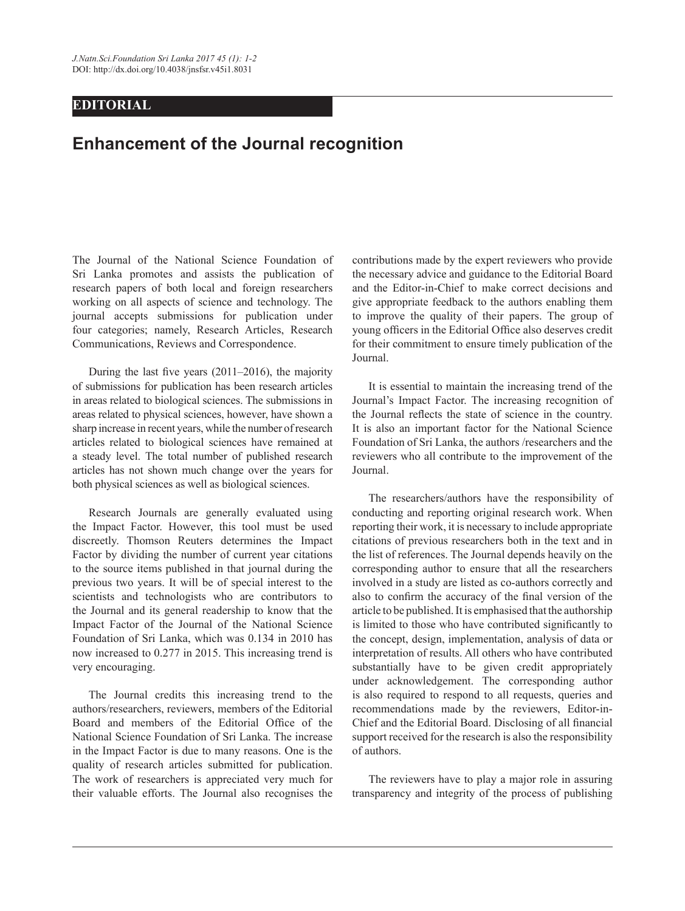## **EDITORIAL**

## **Enhancement of the Journal recognition**

The Journal of the National Science Foundation of Sri Lanka promotes and assists the publication of research papers of both local and foreign researchers working on all aspects of science and technology. The journal accepts submissions for publication under four categories; namely, Research Articles, Research Communications, Reviews and Correspondence.

During the last five years  $(2011-2016)$ , the majority of submissions for publication has been research articles in areas related to biological sciences. The submissions in areas related to physical sciences, however, have shown a sharp increase in recent years, while the number of research articles related to biological sciences have remained at a steady level. The total number of published research articles has not shown much change over the years for both physical sciences as well as biological sciences.

 Research Journals are generally evaluated using the Impact Factor. However, this tool must be used discreetly. Thomson Reuters determines the Impact Factor by dividing the number of current year citations to the source items published in that journal during the previous two years. It will be of special interest to the scientists and technologists who are contributors to the Journal and its general readership to know that the Impact Factor of the Journal of the National Science Foundation of Sri Lanka, which was 0.134 in 2010 has now increased to 0.277 in 2015. This increasing trend is very encouraging.

 The Journal credits this increasing trend to the authors/researchers, reviewers, members of the Editorial Board and members of the Editorial Office of the National Science Foundation of Sri Lanka. The increase in the Impact Factor is due to many reasons. One is the quality of research articles submitted for publication. The work of researchers is appreciated very much for their valuable efforts. The Journal also recognises the contributions made by the expert reviewers who provide the necessary advice and guidance to the Editorial Board and the Editor-in-Chief to make correct decisions and give appropriate feedback to the authors enabling them to improve the quality of their papers. The group of young officers in the Editorial Office also deserves credit for their commitment to ensure timely publication of the Journal.

 It is essential to maintain the increasing trend of the Journal's Impact Factor. The increasing recognition of the Journal reflects the state of science in the country. It is also an important factor for the National Science Foundation of Sri Lanka, the authors /researchers and the reviewers who all contribute to the improvement of the Journal.

 The researchers/authors have the responsibility of conducting and reporting original research work. When reporting their work, it is necessary to include appropriate citations of previous researchers both in the text and in the list of references. The Journal depends heavily on the corresponding author to ensure that all the researchers involved in a study are listed as co-authors correctly and also to confirm the accuracy of the final version of the article to be published. It is emphasised that the authorship is limited to those who have contributed significantly to the concept, design, implementation, analysis of data or interpretation of results. All others who have contributed substantially have to be given credit appropriately under acknowledgement. The corresponding author is also required to respond to all requests, queries and recommendations made by the reviewers, Editor-in- Chief and the Editorial Board. Disclosing of all financial support received for the research is also the responsibility of authors.

 The reviewers have to play a major role in assuring transparency and integrity of the process of publishing